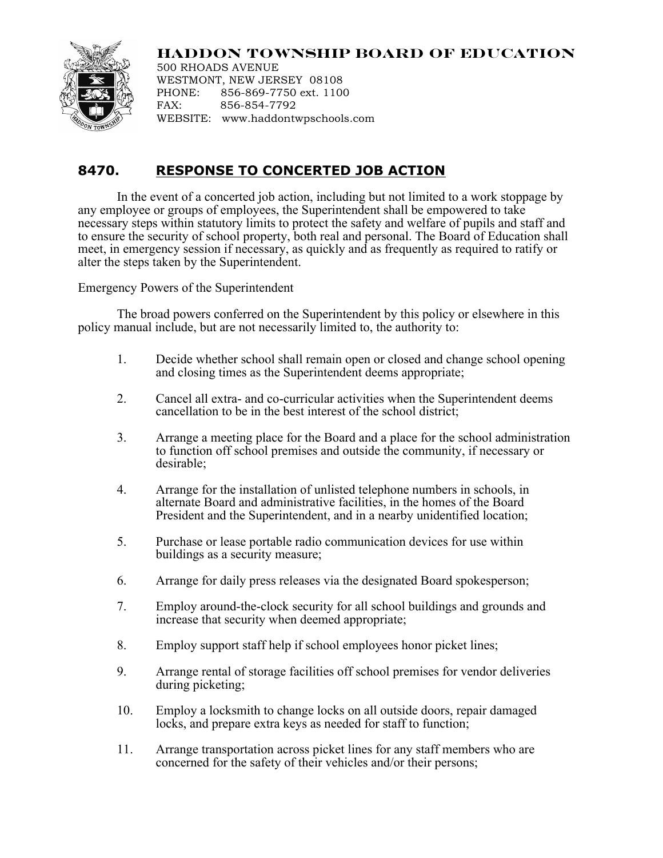## **HADDON TOWNSHIP BOARD OF EDUCATION**



500 RHOADS AVENUE WESTMONT, NEW JERSEY 08108 PHONE: 856-869-7750 ext. 1100 FAX: 856-854-7792 WEBSITE: www.haddontwpschools.com

## **8470. RESPONSE TO CONCERTED JOB ACTION**

In the event of a concerted job action, including but not limited to a work stoppage by any employee or groups of employees, the Superintendent shall be empowered to take necessary steps within statutory limits to protect the safety and welfare of pupils and staff and to ensure the security of school property, both real and personal. The Board of Education shall meet, in emergency session if necessary, as quickly and as frequently as required to ratify or alter the steps taken by the Superintendent.

Emergency Powers of the Superintendent

The broad powers conferred on the Superintendent by this policy or elsewhere in this policy manual include, but are not necessarily limited to, the authority to:

- 1. Decide whether school shall remain open or closed and change school opening and closing times as the Superintendent deems appropriate;
- 2. Cancel all extra- and co-curricular activities when the Superintendent deems cancellation to be in the best interest of the school district;
- 3. Arrange a meeting place for the Board and a place for the school administration to function off school premises and outside the community, if necessary or desirable;
- 4. Arrange for the installation of unlisted telephone numbers in schools, in alternate Board and administrative facilities, in the homes of the Board President and the Superintendent, and in a nearby unidentified location;
- 5. Purchase or lease portable radio communication devices for use within buildings as a security measure;
- 6. Arrange for daily press releases via the designated Board spokesperson;
- 7. Employ around-the-clock security for all school buildings and grounds and increase that security when deemed appropriate;
- 8. Employ support staff help if school employees honor picket lines;
- 9. Arrange rental of storage facilities off school premises for vendor deliveries during picketing;
- 10. Employ a locksmith to change locks on all outside doors, repair damaged locks, and prepare extra keys as needed for staff to function;
- 11. Arrange transportation across picket lines for any staff members who are concerned for the safety of their vehicles and/or their persons;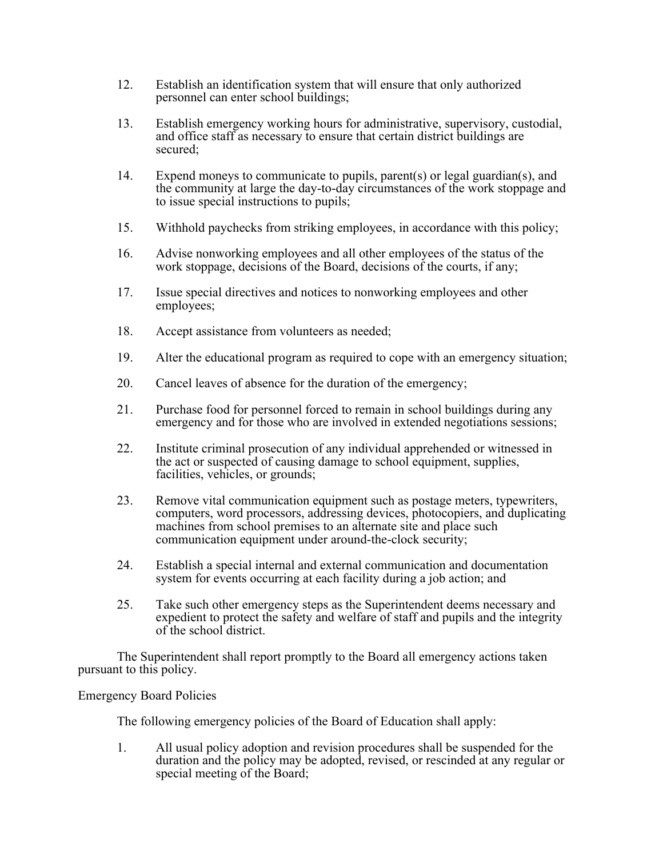- 12. Establish an identification system that will ensure that only authorized personnel can enter school buildings;
- 13. Establish emergency working hours for administrative, supervisory, custodial, and office staff as necessary to ensure that certain district buildings are secured;
- 14. Expend moneys to communicate to pupils, parent(s) or legal guardian(s), and the community at large the day-to-day circumstances of the work stoppage and to issue special instructions to pupils;
- 15. Withhold paychecks from striking employees, in accordance with this policy;
- 16. Advise nonworking employees and all other employees of the status of the work stoppage, decisions of the Board, decisions of the courts, if any;
- 17. Issue special directives and notices to nonworking employees and other employees;
- 18. Accept assistance from volunteers as needed;
- 19. Alter the educational program as required to cope with an emergency situation;
- 20. Cancel leaves of absence for the duration of the emergency;
- 21. Purchase food for personnel forced to remain in school buildings during any emergency and for those who are involved in extended negotiations sessions;
- 22. Institute criminal prosecution of any individual apprehended or witnessed in the act or suspected of causing damage to school equipment, supplies, facilities, vehicles, or grounds;
- 23. Remove vital communication equipment such as postage meters, typewriters, computers, word processors, addressing devices, photocopiers, and duplicating machines from school premises to an alternate site and place such communication equipment under around-the-clock security;
- 24. Establish a special internal and external communication and documentation system for events occurring at each facility during a job action; and
- 25. Take such other emergency steps as the Superintendent deems necessary and expedient to protect the safety and welfare of staff and pupils and the integrity of the school district.

The Superintendent shall report promptly to the Board all emergency actions taken pursuant to this policy.

Emergency Board Policies

The following emergency policies of the Board of Education shall apply:

1. All usual policy adoption and revision procedures shall be suspended for the duration and the policy may be adopted, revised, or rescinded at any regular or special meeting of the Board;